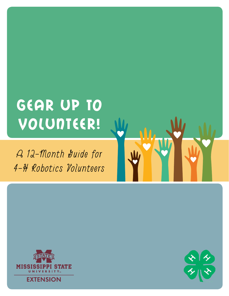# Gear Up to VOLUNTEER!

A 12-Month guide for 4-H Robotics Volunteers



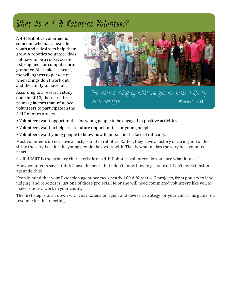### What Is a 4-H Robotics Volunteer?

A 4-H Robotics volunteer is someone who has a heart for youth and a desire to help them grow. A robotics volunteer does not have to be a rocket scientist, engineer, or computer programmer. All it takes is heart, the willingness to persevere when things don't work out, and the ability to have fun.

According to a research study done in 2013, there are three primary factors that influence volunteers to participate in the 4-H Robotics project:



"We make a living by what we get, we make a life by  $what$  we give."  $\blacksquare$  - Winston Churchill

- Volunteers want opportunities for young people to be engaged in positive activities.
- Volunteers want to help create future opportunities for young people.
- Volunteers want young people to know how to persist in the face of difficulty.

Most volunteers do not have a background in robotics. Rather, they have a history of caring and of desiring the very best for the young people they work with. That is what makes the very best volunteer heart.

So, if HEART is the primary characteristic of a 4-H Robotics volunteer, do you have what it takes?

Many volunteers say, "I think I have the heart, but I don't know how to get started. Can't my Extension agent do this?"

Keep in mind that your Extension agent oversees nearly 100 different 4-H projects, from poultry to land judging, and robotics is just one of those projects. He or she will need committed volunteers like you to make robotics work in your county.

The first step is to sit down with your Extension agent and devise a strategy for your club. This guide is a resource for that meeting.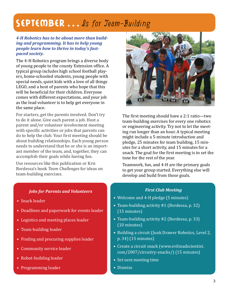### SEPTEMBER ... Is for Jeam-Building

#### *4-H Robotics has to be about more than building and programming. It has to help young people learn how to thrive in today's fastpaced society.*

The 4-H Robotics program brings a diverse body of young people to the county Extension office. A typical group includes high school football players, home-schooled students, young people with special needs, quiet kids with a love of all things LEGO, and a host of parents who hope that this will be beneficial for their children. Everyone comes with different expectations, and your job as the lead volunteer is to help get everyone in the same place.

For starters, get the parents involved. Don't try to do it alone. Give each parent a job. Host a parent and/or volunteer involvement meeting with specific activities or jobs that parents can do to help the club. Your first meeting should be about building relationships. Each young person needs to understand that he or she is an important member of the team, and, together, they can accomplish their goals while having fun.

Use resources like this publication or Kris Bordessa's book *Team Challenges* for ideas on team-building exercises.



The first meeting should have a 2:1 ratio—two team-building exercises for every one robotics or engineering activity. Try not to let the meeting run longer than an hour. A typical meeting might include a 5-minute introduction and pledge, 25 minutes for team building, 15 minutes for a short activity, and 15 minutes for a snack. The goal for the first meeting is to set the tone for the rest of the year.

Teamwork, fun, and 4-H are the primary goals to get your group started. Everything else will develop and build from those goals.

#### *First Club Meeting*

- Welcome and 4-H pledge (5 minutes)
- Team-building activity #1 (Bordessa, p. 32) (15 minutes)
- Team-building activity #2 (Bordessa, p. 33) (10 minutes)
- Building a circuit (Junk Drawer Robotics, Level 2, p. 34) (15 minutes)
- Create a circuit snack (www.evilmadscientist. com/2007/circuitry-snacks/) (15 minutes)
- Set next meeting time
- Dismiss

#### *Jobs for Parents and Volunteers*

- Snack leader
- Deadlines and paperwork for events leader
- Logistics and meeting places leader
- Team-building leader
- Finding and procuring supplies leader
- Community service leader
- Robot-building leader
- Programming leader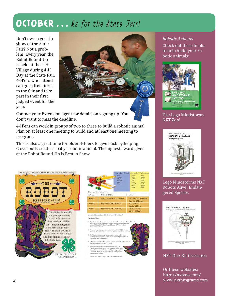### OCTOBER ... Js for the dtate Jair!

Don't own a goat to show at the State Fair? Not a problem! Every year, the Robot Round-Up is held at the 4-H Village during 4-H Day at the State Fair. 4-H'ers who attend can get a free ticket to the fair and take part in their first judged event for the year.



Contact your Extension agent for details on signing up! You don't want to miss the deadline.

4-H'ers can work in groups of two to three to build a robotic animal. Plan on at least one meeting to build and at least one meeting to program.

This is also a great time for older 4-H'ers to give back by helping Cloverbuds create a "baby" robotic animal. The highest award given at the Robot Round-Up is Best in Show.



|                                                        | Links<br>Minday<br><b>Alligator</b><br><b>Elephani</b><br>Hinds.<br>Other<br>There are three age groups:                                                                                                                                            | Group L Baby Animals' Group 2 & 3: NAT Animals<br>Rabbit<br>Spidit<br>Allegator<br>Petroti<br>Skimk<br>Dolphin<br>Canad<br>Fron:<br>Peacock.<br>Sooke<br>Polar Base<br>Gordla<br><b>Chick</b><br>Detein<br>Shork<br>Other |
|--------------------------------------------------------|-----------------------------------------------------------------------------------------------------------------------------------------------------------------------------------------------------------------------------------------------------|---------------------------------------------------------------------------------------------------------------------------------------------------------------------------------------------------------------------------|
| LEVEL.                                                 | ROBOT TYPE                                                                                                                                                                                                                                          | AGE.                                                                                                                                                                                                                      |
| Group 1                                                | <b>Baby Animals (WeDo Robotics)</b>                                                                                                                                                                                                                 | 5-7 years old/Cloverbud<br>(not 8 in 1-H years).                                                                                                                                                                          |
| Group 2                                                | <b>Any Animal CVXT Robones)</b>                                                                                                                                                                                                                     | 8-13 years old<br>(Junior 4-H'ers)                                                                                                                                                                                        |
| Group 3                                                | Any Animal (NXT Robotics)                                                                                                                                                                                                                           | 14-18 years old<br>(Semor 4-H'ers)                                                                                                                                                                                        |
| Details to Note:<br>33<br>findsy attenuals) available. | Robots are available to check out on a first come first serve basis. Your 4-H agent<br>may contact Mariah Smith at uncealas@ext.misstate.edu tei sign-up for a<br>robot. We have 20 NXT robots available and 11 WeDo Robots.                        |                                                                                                                                                                                                                           |
| 29                                                     | You may began supring up on September 5th at 8:00 A.M. Once you<br>have ugned-up, you may pick up the robot at any point in time after that.                                                                                                        |                                                                                                                                                                                                                           |
|                                                        | Budding instructions and programming instructions will be made-<br>available citber by e-mail or posted on the Facebook page (find us at<br>Mississippi Bots on Facebook).                                                                          |                                                                                                                                                                                                                           |
| $\Box$                                                 | All judging will be based on a rubrit. You can find a lask to the rubric on<br>the Facebook page or request to estual.                                                                                                                              |                                                                                                                                                                                                                           |
| saurands distring inidense.                            | 51 Picase brang your robotic animal in the State Fan 4-11<br>Village on October 12, 2013. Check-in began at 8:30 A.M.<br>and will containe until 9:30 A.M. Judging starts promptly at<br>10.00 A.M. Youth are not required to stay with the robotic |                                                                                                                                                                                                                           |

Robon must be picked up by 2:00 P.M. on October 12th

#### *Robotic Animals*

Check out these books to help build your robotic animals:



#### The Lego Mindstorms NXT Zoo!



#### Lego Mindstorms NXT Robots Alive! Endangered Species



#### NXT One-Kit Creatures

Or these websites: http://nxtzoo.com/ www.nxtprograms.com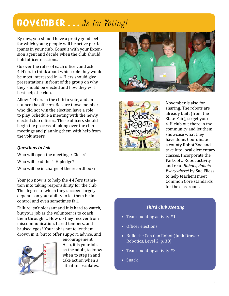### November…Is for Voting!

By now, you should have a pretty good feel for which young people will be active participants in your club. Consult with your Extension agent and decide when the club should hold officer elections.

Go over the roles of each officer, and ask 4-H'ers to think about which role they would be most interested in. 4-H'ers should give presentations in front of the group on why they should be elected and how they will best help the club.

Allow 4-H'ers in the club to vote, and announce the officers. Be sure those members who did not win the election have a role to play. Schedule a meeting with the newly elected club officers. These officers should begin the process of taking over the club meetings and planning them with help from the volunteers.

#### *Questions to Ask*

Who will open the meetings? Close? Who will lead the 4-H pledge? Who will be in charge of the recordbook?

Your job now is to help the 4-H'ers transition into taking responsibility for the club. The degree to which they succeed largely depends on your ability to let them be in control and even sometimes fail.

Failure isn't pleasant and it is hard to watch, but your job as the volunteer is to coach them through it. How do they recover from miscommunication, flared tempers, and bruised egos? Your job is not to let them drown in it, but to offer support, advice, and



encouragement. Also, it is your job, as the adult, to know when to step in and take action when a situation escalates.





November is also for sharing. The robots are already built (from the State Fair), so get your 4-H club out there in the community and let them showcase what they have done. Coordinate a county Robot Zoo and take it to local elementary classes. Incorporate the Parts of a Robot activity and read *Robots, Robots Everywhere!* by Sue Fliess to help teachers meet Common Core standards for the classroom.

#### *Third Club Meeting*

- Team-building activity #1
- Officer elections
- Build the Can Can Robot (Junk Drawer Robotics, Level 2, p. 38)
- Team-building activity #2
- Snack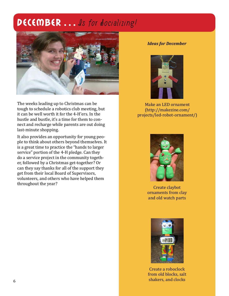### DECEMBER ... Is for docializing!



The weeks leading up to Christmas can be tough to schedule a robotics club meeting, but it can be well worth it for the 4-H'ers. In the hustle and bustle, it's a time for them to connect and recharge while parents are out doing last-minute shopping.

It also provides an opportunity for young people to think about others beyond themselves. It is a great time to practice the "hands to larger service" portion of the 4-H pledge. Can they do a service project in the community together, followed by a Christmas get-together? Or can they say thanks for all of the support they get from their local Board of Supervisors, volunteers, and others who have helped them throughout the year?

#### *Ideas for December*



Make an LED ornament (http://makezine.com/ projects/led-robot-ornament/)



Create claybot ornaments from clay and old watch parts



Create a roboclock from old blocks, salt shakers, and clocks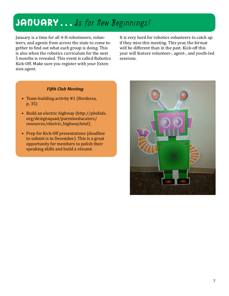### JANUARY... Is for New Beginnings!

January is a time for all 4-H robotineers, volunteers, and agents from across the state to come together to find out what each group is doing. This is also when the robotics curriculum for the next 5 months is revealed. This event is called Robotics Kick-Off. Make sure you register with your Extension agent.

It is very hard for robotics volunteers to catch up if they miss this meeting. This year, the format will be different than in the past. Kick-off this year will feature volunteer-, agent-, and youth-led sessions.

#### *Fifth Club Meeting*

- Team-building activity #1 (Bordessa, p. 35)
- Build an electric highway (http://pbskids. org/designsquad/parentseducators/ resources/electric\_highway.html)
- Prep for Kick-Off presentations (deadline to submit is in December). This is a great opportunity for members to polish their speaking skills and build a résumé.

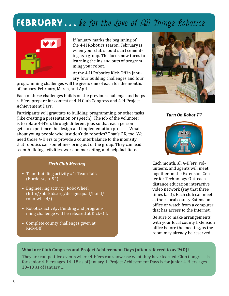### FEBRUARY... Is for the Love of All Things Robotics



If January marks the beginning of the 4-H Robotics season, February is when your club should start cementing as a group. The focus now turns to learning the ins and outs of programming your robot.

At the 4-H Robotics Kick-Off in January, four building challenges and four

programming challenges will be given: one of each for the months of January, February, March, and April.

Each of these challenges builds on the previous challenge and helps 4-H'ers prepare for contest at 4-H Club Congress and 4-H Project Achievement Days.

Participants will gravitate to building, programming, or other tasks (like creating a presentation or speech). The job of the volunteer is to rotate 4-H'ers through different jobs so that each person gets to experience the design and implementation process. What about young people who just don't do robotics? That's OK, too. We need those 4-H'ers to provide a counterbalance to the intensity that robotics can sometimes bring out of the group. They can lead team-building activities, work on marketing, and help facilitate.

#### *Sixth Club Meeting*

- Team-building activity #1: Team Talk (Bordessa, p. 54)
- Engineering activity: RoboWheel (http://pbskids.org/designsquad/build/ robo-wheel/)
- Robotics activity: Building and programming challenge will be released at Kick-Off.
- Complete county challenges given at Kick-Off.



*Turn On Robot TV*



Each month, all 4-H'ers, volunteers, and agents will meet together on the Extension Center for Technology Outreach distance education interactive video network (say that three times fast!). Each club can meet at their local county Extension office or watch from a computer that has access to the Internet.

Be sure to make arrangements with your local county Extension office before the meeting, as the room may already be reserved.

#### **What are Club Congress and Project Achievement Days (often referred to as PAD)?**

They are competitive events where 4-H'ers can showcase what they have learned. Club Congress is for senior 4-H'ers ages 14–18 as of January 1. Project Achievement Days is for junior 4-H'ers ages 10–13 as of January 1.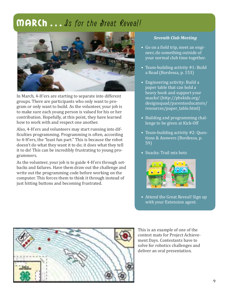### MARCh ... Is for the great Reveal!



In March, 4-H'ers are starting to separate into different groups. There are participants who only want to program or only want to build. As the volunteer, your job is to make sure each young person is valued for his or her contribution. Hopefully, at this point, they have learned how to work with and respect one another.

Also, 4-H'ers and volunteers may start running into difficulties programming. Programming is often, according to 4-H'ers, the "least fun part." This is because the robot doesn't do what they want it to do; it does what they tell it to do! This can be incredibly frustrating to young programmers.

As the volunteer, your job is to guide 4-H'ers through setbacks and failures. Have them draw out the challenge and write out the programming code before working on the computer. This forces them to think it through instead of just hitting buttons and becoming frustrated.

#### *Seventh Club Meeting*

- Go on a field trip, meet an engineer, do something outside of your normal club time together.
- Team-building activity #1: Build a Road (Bordessa, p. 153)
- Engineering activity: Build a paper table that can hold a heavy book and support your snacks! (http://pbskids.org/ designsquad/parentseducators/ resources/paper\_table.html)
- Building and programming challenge to be given at Kick-Off
- Team-building activity #2: Questions & Answers (Bordessa, p. 59)
- Snacks: Trail mix bots



• Attend the Great Reveal! Sign up with your Extension agent.



This is an example of one of the contest mats for Project Achievement Days. Contestants have to solve for robotics challenges and deliver an oral presentation.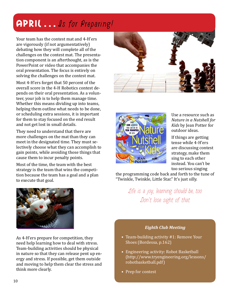# APRIL ... Is for Preparing!

Your team has the contest mat and 4-H'ers are vigorously (if not argumentatively) debating how they will complete all of the challenges on the contest mat. The presentation component is an afterthought, as is the PowerPoint or video that accompanies the oral presentation. The focus is entirely on solving the challenges on the contest mat.

Most 4-H'ers forget that 50 percent of the overall score in the 4-H Robotics contest depends on their oral presentation. As a volunteer, your job is to help them manage time. Whether this means dividing up into teams, helping them outline what needs to be done, or scheduling extra sessions, it is important for them to stay focused on the end result and not get lost in small details.

They need to understand that there are more challenges on the mat than they can meet in the designated time. They must selectively choose what they can accomplish to gain points, while avoiding those things that cause them to incur penalty points.

Most of the time, the team with the best strategy is the team that wins the competition because the team has a goal and a plan to execute that goal.



As 4-H'ers prepare for competition, they need help learning how to deal with stress. Team-building activities should be physical in nature so that they can release pent up energy and stress. If possible, get them outside and moving to help them clear the stress and think more clearly.





Use a resource such as *Nature in a Nutshell for Kids* by Jean Potter for outdoor ideas.

If things are getting tense while 4-H'ers are discussing contest strategy, make them sing to each other instead. You can't be too serious singing

the programming code back and forth to the tune of "Twinkle, Twinkle, Little Star." It's just silly.

> Life is a joy; learning should be, too. Don't lose sight of that.

#### *Eighth Club Meeting*

- Team-building activity #1: Remove Your Shoes (Bordessa, p.162)
- Engineering activity: Robot Basketball (http://www.tryengineering.org/lessons/ robotbasketball.pdf)
- Prep for contest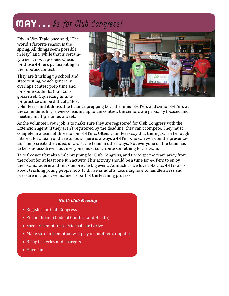### May…Is for Club Congress!

Edwin Way Teale once said, "The world's favorite season is the spring. All things seem possible in May," and, while that is certainly true, it is warp-speed-ahead for those 4-H'ers participating in the robotics contest.

They are finishing up school and state testing, which generally overlaps contest prep time and, for some students, Club Congress itself. Squeezing in time for practice can be difficult. Most



volunteers find it difficult to balance prepping both the junior 4-H'ers and senior 4-H'ers at the same time. In the weeks leading up to the contest, the seniors are probably focused and meeting multiple times a week.

As the volunteer, your job is to make sure they are registered for Club Congress with the Extension agent. If they aren't registered by the deadline, they can't compete. They must compete in a team of three to four 4-H'ers. Often, volunteers say that there just isn't enough interest for a team of three to four. There is always a 4-H'er who can work on the presentation, help create the video, or assist the team in other ways. Not everyone on the team has to be robotics-driven, but everyone must contribute something to the team.

Take frequent breaks while prepping for Club Congress, and try to get the team away from the robot for at least one fun activity. This activity should be a time for 4-H'ers to enjoy their camaraderie and relax before the big event. As much as we love robotics, 4-H is also about teaching young people how to thrive as adults. Learning how to handle stress and pressure in a positive manner is part of the learning process.

#### *Ninth Club Meeting*

- Register for Club Congress
- Fill out forms (Code of Conduct and Health)
- Save presentation to external hard drive
- Make sure presentation will play on another computer
- Bring batteries and chargers
- Have fun!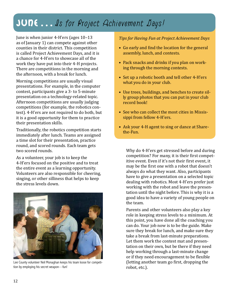### JUNE... Is for Project Achievement Days!

June is when junior 4-H'ers (ages 10–13 as of January 1) can compete against other counties in their district. This competition is called Project Achievement Days, and it is a chance for 4-H'ers to showcase all of the work they have put into their 4-H projects. There are competitions in the morning and the afternoon, with a break for lunch.

Morning competitions are usually visual presentations. For example, in the computer contest, participants give a 3- to 5-minute presentation on a technology-related topic. Afternoon competitions are usually judging competitions (for example, the robotics contest). 4-H'ers are not required to do both, but it is a good opportunity for them to practice their presentation skills.

Traditionally, the robotics competition starts immediately after lunch. Teams are assigned a time slot for their presentation, practice round, and scored rounds. Each team gets two scored rounds.

As a volunteer, your job is to keep the 4-H'ers focused on the positive and to treat the entire event as a learning opportunity. Volunteers are also responsible for cheering, singing, or other silliness that helps to keep the stress levels down.



Lee County volunteer Neil Monaghan keeps his team loose for competition by employing his secret weapon—fun!

*Tips for Having Fun at Project Achievement Days*

- Go early and find the location for the general assembly, lunch, and contests.
- Pack snacks and drinks if you plan on working through the morning contests.
- Set up a robotic booth and tell other 4-H'ers what you do in your club.
- Use trees, buildings, and benches to create silly group photos that you can put in your club record book!
- See who can collect the most cities in Mississippi from fellow 4-H'ers.
- Ask your 4-H agent to sing or dance at Sharethe-Fun.

Why do 4-H'ers get stressed before and during competition? For many, it is their first competitive event. Even if it's not their first event, it may be the first one with a robot that doesn't always do what they want. Also, participants have to give a presentation on a selected topic dealing with robotics. Most 4-H'ers prefer just working with the robot and leave the presentation until the night before. This is why it is a good idea to have a variety of young people on the team.

Parents and other volunteers also play a key role in keeping stress levels to a minimum. At this point, you have done all the coaching you can do. Your job now is to be the guide. Make sure they break for lunch, and make sure they take a break from last-minute preparations. Let them work the contest mat and presentation on their own, but be there if they need help working through a last-minute change or if they need encouragement to be flexible (letting another team go first, dropping the robot, etc.).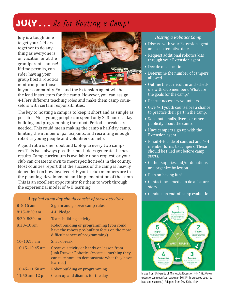# JULY... Is for Hosting a Camp!

July is a tough time to get your 4-H'ers together to do anything as everyone is on vacation or at the grandparents' house! If time permits, consider having your group host a robotics mini-camp for those



in your community. You and the Extension agent will be the lead instructors for the camp. However, you can assign 4-H'ers different teaching roles and make them camp counselors with certain responsibilities.

The key to hosting a camp is to keep it short and as simple as possible. Most young people can spend only 2–3 hours a day building and programming the robot. Periodic breaks are needed. This could mean making the camp a half-day camp, limiting the number of participants, and recruiting enough robotics young people and volunteers to help.

A good ratio is one robot and laptop to every two campers. This isn't always possible, but it does generate the best results. Camp curriculum is available upon request, or your club can create its own to meet specific needs in the county. Most counties report that the success of the camp is heavily dependent on how involved 4-H youth club members are in the planning, development, and implementation of the camp. This is an excellent opportunity for them to work through the experiential model of 4-H learning.

#### *A typical camp day should consist of these activities:*

| $8 - 8:15$ am      | Sign in and go over camp rules                                                                                                                      |
|--------------------|-----------------------------------------------------------------------------------------------------------------------------------------------------|
| $8:15 - 8:20$ am   | 4-H Pledge                                                                                                                                          |
| $8:20 - 8:30$ am   | Team-building activity                                                                                                                              |
| $8:30-10$ am       | Robot building or programming (you could<br>have the robots pre-built to focus on the more<br>difficult aspect of programming)                      |
| $10 - 10:15$ am    | Snack break                                                                                                                                         |
| $10:15 - 10:45$ am | Creative activity or hands-on lesson from<br>Junk Drawer Robotics (create something they<br>can take home to demonstrate what they have<br>learned) |
| $10:45 - 11:50$ am | Robot building or programming                                                                                                                       |
| 11:50 am $-12$ pm  | Clean up and dismiss for the day                                                                                                                    |

#### *Hosting a Robotics Camp*

- Discuss with your Extension agent and set a tentative date.
- Request additional robotics kits through your Extension agent.
- Decide on a location.
- Determine the number of campers allowed.
- Outline the curriculum and schedule with club members. What are the goals for the camp?
- Recruit necessary volunteers.
- Give 4-H youth counselors a chance to practice their part in the camp.
- Send out emails, flyers, or other publicity about the camp.
- Have campers sign up with the Extension agent.
- Email 4-H code of conduct and 4-H member forms to campers. These should be filled out before camp starts.
- Gather supplies and/or donations and organize by lesson.
- Plan on having fun!
- Contact local media to do a feature story.
- Conduct an end-of-camp evaluation.



Image from University of Minnesota Extension 4-H (http://www. extension.umn.edu/source/winter-2013/4-h-prepares-youth-tolead-and-succeed/). Adapted from D.A. Kolb, 1984.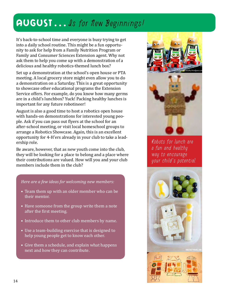### AUGUST... Is for New Beginnings!

It's back-to-school time and everyone is busy trying to get into a daily school routine. This might be a fun opportunity to ask for help from a Family Nutrition Program or Family and Consumer Sciences Extension agent. Why not ask them to help you come up with a demonstration of a delicious and healthy robotics-themed lunch box?

Set up a demonstration at the school's open house or PTA meeting. A local grocery store might even allow you to do a demonstration on a Saturday. This is a great opportunity to showcase other educational programs the Extension Service offers. For example, do you know how many germs are in a child's lunchbox? Yuck! Packing healthy lunches is important for any future robotineer!

August is also a good time to host a robotics open house with hands-on demonstrations for interested young people. Ask if you can pass out flyers at the school for an after-school meeting, or visit local homeschool groups to arrange a Robotics Showcase. Again, this is an excellent opportunity for 4-H'ers already in your club to take a leadership role.

Be aware, however, that as new youth come into the club, they will be looking for a place to belong and a place where their contributions are valued. How will you and your club members include them in the club?

#### *Here are a few ideas for welcoming new members:*

- Team them up with an older member who can be their mentor.
- Have someone from the group write them a note after the first meeting.
- Introduce them to other club members by name.
- Use a team-building exercise that is designed to help young people get to know each other.
- Give them a schedule, and explain what happens next and how they can contribute.



Robots for lunch are a fun and healthy way to encourage your child's potential.

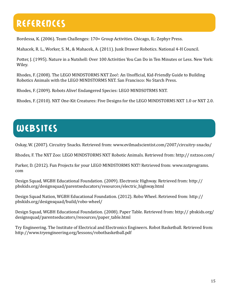# References

Bordessa, K. (2006). Team Challenges: 170+ Group Activities. Chicago, IL: Zephyr Press.

Mahacek, R. L., Worker, S. M., & Mahacek, A. (2011). Junk Drawer Robotics. National 4-H Council.

Potter, J. (1995). Nature in a Nutshell: Over 100 Activities You Can Do in Ten Minutes or Less. New York: Wiley.

Rhodes, F. (2008). The LEGO MINDSTORMS NXT Zoo!: An Unofficial, Kid-Friendly Guide to Building Robotics Animals with the LEGO MINDSTORMS NXT. San Francisco: No Starch Press.

Rhodes, F. (2009). Robots Alive! Endangered Species: LEGO MINDSOTRMS NXT.

Rhodes, F. (2010). NXT One-Kit Creatures: Five Designs for the LEGO MINDSTORMS NXT 1.0 or NXT 2.0.

# **WEBSITES**

Oskay, W. (2007). Circuitry Snacks. Retrieved from: www.evilmadscientist.com/2007/circuitry-snacks/

Rhodes, F. The NXT Zoo: LEGO MINDSTORMS NXT Robotic Animals. Retrieved from: http:// nxtzoo.com/

Parker, D. (2012). Fun Projects for your LEGO MINDSTORMS NXT! Retrieved from: www.nxtprograms. com

Design Squad, WGBH Educational Foundation. (2009). Electronic Highway. Retrieved from: http:// pbskids.org/designsquad/parentseducators/resources/electric\_highway.html

Design Squad Nation, WGBH Educational Foundation. (2012). Robo Wheel. Retrieved from: http:// pbskids.org/designsquad/build/robo-wheel/

Design Squad, WGBH Educational Foundation. (2008). Paper Table. Retrieved from: http:// pbskids.org/ designsquad/parentseducators/resources/paper\_table.html

Try Engineering. The Institute of Electrical and Electronics Engineers. Robot Basketball. Retrieved from: http://www.tryengineering.org/lessons/robotbasketball.pdf